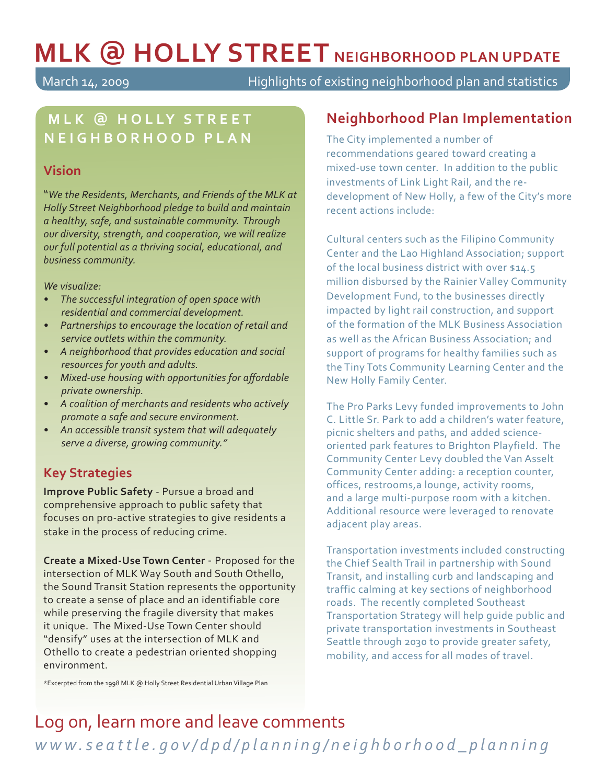# **MLK ̼ HOLLY STREET NEIGHBORHOOD PLAN UPDATE**

March 14, 2009 Highlights of existing neighborhood plan and statistics

## **MLK ̼ H O L LY S T R E E T NEIGHBORHOOD PLAN**

#### **Vision**

"*We the Residents, Merchants, and Friends of the MLK at Holly Street Neighborhood pledge to build and maintain a healthy, safe, and sustainable community. Through our diversity, strength, and cooperation, we will realize our full potential as a thriving social, educational, and business community.* 

*We visualize:*

- *The successful integration of open space with residential and commercial development.*
- *Partnerships to encourage the location of retail and service outlets within the community.*
- *A neighborhood that provides education and social resources for youth and adults.*
- Mixed-use housing with opportunities for affordable *private ownership.*
- *A coalition of merchants and residents who actively promote a safe and secure environment.*
- *An accessible transit system that will adequately serve a diverse, growing community."*

### **Key Strategies**

**Improve Public Safety** - Pursue a broad and comprehensive approach to public safety that focuses on pro-active strategies to give residents a stake in the process of reducing crime.

**Create a Mixed-Use Town Center** - Proposed for the intersection of MLK Way South and South Othello, the Sound Transit Station represents the opportunity to create a sense of place and an identifiable core while preserving the fragile diversity that makes it unique. The Mixed-Use Town Center should "densify" uses at the intersection of MLK and Othello to create a pedestrian oriented shopping environment.

\*Excerpted from the 1998 MLK @ Holly Street Residential Urban Village Plan

#### **Neighborhood Plan Implementation**

The City implemented a number of recommendations geared toward creating a mixed-use town center. In addition to the public investments of Link Light Rail, and the redevelopment of New Holly, a few of the City's more recent actions include:

Cultural centers such as the Filipino Community Center and the Lao Highland Association; support of the local business district with over \$14.5 million disbursed by the Rainier Valley Community Development Fund, to the businesses directly impacted by light rail construction, and support of the formation of the MLK Business Association as well as the African Business Association; and support of programs for healthy families such as the Tiny Tots Community Learning Center and the New Holly Family Center.

The Pro Parks Levy funded improvements to John C. Little Sr. Park to add a children's water feature, picnic shelters and paths, and added scienceoriented park features to Brighton Playfield. The Community Center Levy doubled the Van Asselt Community Center adding: a reception counter, offices, restrooms,a lounge, activity rooms, and a large multi-purpose room with a kitchen. Additional resource were leveraged to renovate adjacent play areas.

Transportation investments included constructing the Chief Sealth Trail in partnership with Sound Transit, and installing curb and landscaping and traffic calming at key sections of neighborhood roads. The recently completed Southeast Transportation Strategy will help guide public and private transportation investments in Southeast Seattle through 2030 to provide greater safety, mobility, and access for all modes of travel.

# Log on, learn more and leave comments

*www.seattle.gov/dpd/planning/neighborhood\_planning*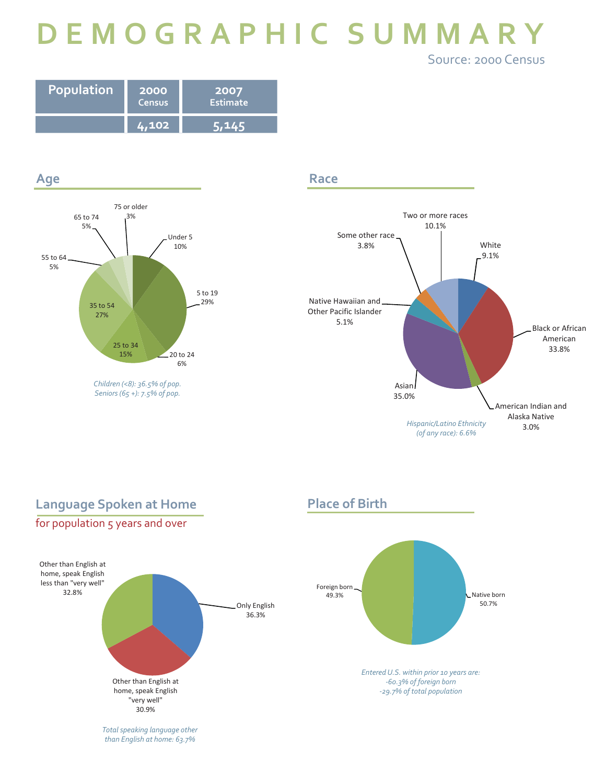# **DEMOGRAPHIC SUMMARY** Source: 2000 Census

| Population | <b>2000</b><br>Census | 2007<br>Estimate |
|------------|-----------------------|------------------|
|            | Z. 102'               |                  |



**Race**



## Other than English at home, speak English less than "very well" 32 8% Only English 36.3% Other than English at home, speak English "very well" 32.8%**Language Spoken at Home** for population 5 years and over

*Total speaking language other than English at home: 63.7%*

30.9%

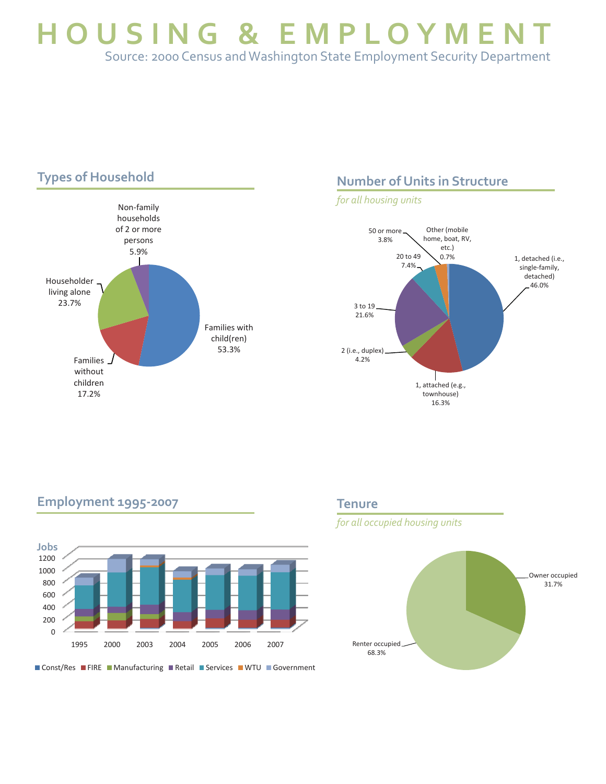**HOUSING & EMPLOYMEN** Source: 2000 Census and Washington State Employment Security Department



#### **Number of Units in Structure**

*for all housing units*



#### **Employment 1995-2007**



■ Const/Res ■ FIRE ■ Manufacturing ■ Retail ■ Services ■ WTU ■ Government

#### **Tenure**

*for all occupied housing units*